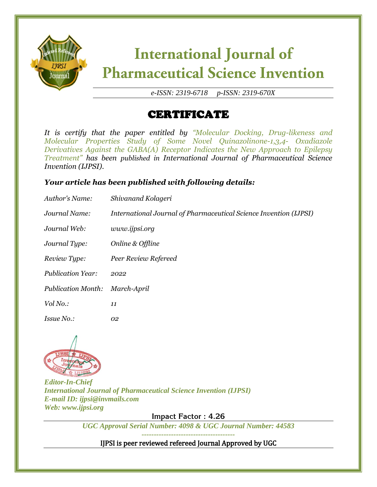

# **International Journal of Pharmaceutical Science Invention**

*e-ISSN: 2319-6718 p-ISSN: 2319-670X*

### CERTIFICATE

*It is certify that the paper entitled by "Molecular Docking, Drug-likeness and Molecular Properties Study of Some Novel Quinazolinone-1,3,4- Oxadiazole Derivatives Against the GABA(A) Receptor Indicates the New Approach to Epilepsy Treatment" has been published in International Journal of Pharmaceutical Science Invention (IJPSI).*

### *Your article has been published with following details:*

| Author's Name:            | Shivanand Kolageri                                                |
|---------------------------|-------------------------------------------------------------------|
| Journal Name:             | International Journal of Pharmaceutical Science Invention (IJPSI) |
| Journal Web:              | www.ijpsi.org                                                     |
| Journal Type:             | Online & Offline                                                  |
| Review Type:              | Peer Review Refereed                                              |
| <b>Publication Year:</b>  | 2022                                                              |
| <b>Publication Month:</b> | March-April                                                       |
| Vol No.:                  | 11                                                                |
| <i>Issue No.:</i>         | 02                                                                |



*Editor-In-Chief International Journal of Pharmaceutical Science Invention (IJPSI) E-mail ID: ijpsi@invmails.com Web: www.ijpsi.org*

**Impact Factor : 4.26**

*UGC Approval Serial Number: 4098 & UGC Journal Number: 44583 --------------------------------------*

IJPSI is peer reviewed refereed Journal Approved by UGC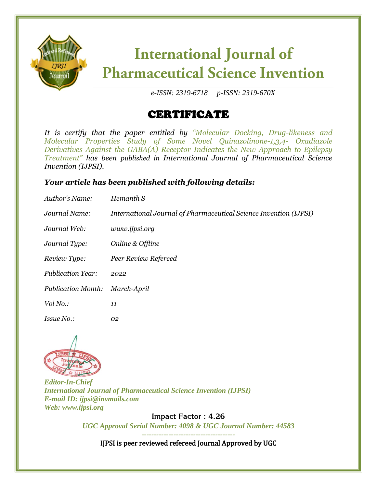

# **International Journal of Pharmaceutical Science Invention**

*e-ISSN: 2319-6718 p-ISSN: 2319-670X*

## CERTIFICATE

*It is certify that the paper entitled by "Molecular Docking, Drug-likeness and Molecular Properties Study of Some Novel Quinazolinone-1,3,4- Oxadiazole Derivatives Against the GABA(A) Receptor Indicates the New Approach to Epilepsy Treatment" has been published in International Journal of Pharmaceutical Science Invention (IJPSI).*

### *Your article has been published with following details:*

| Author's Name:            | Hemanth S                                                         |
|---------------------------|-------------------------------------------------------------------|
| Journal Name:             | International Journal of Pharmaceutical Science Invention (IJPSI) |
| Journal Web:              | www.ijpsi.org                                                     |
| Journal Type:             | Online & Offline                                                  |
| Review Type:              | Peer Review Refereed                                              |
| <b>Publication Year:</b>  | 2022                                                              |
| <b>Publication Month:</b> | March-April                                                       |
| Vol No.:                  | 11                                                                |
| <i>Issue No.:</i>         | 02                                                                |



*Editor-In-Chief International Journal of Pharmaceutical Science Invention (IJPSI) E-mail ID: ijpsi@invmails.com Web: www.ijpsi.org*

**Impact Factor : 4.26**

*UGC Approval Serial Number: 4098 & UGC Journal Number: 44583 --------------------------------------*

IJPSI is peer reviewed refereed Journal Approved by UGC